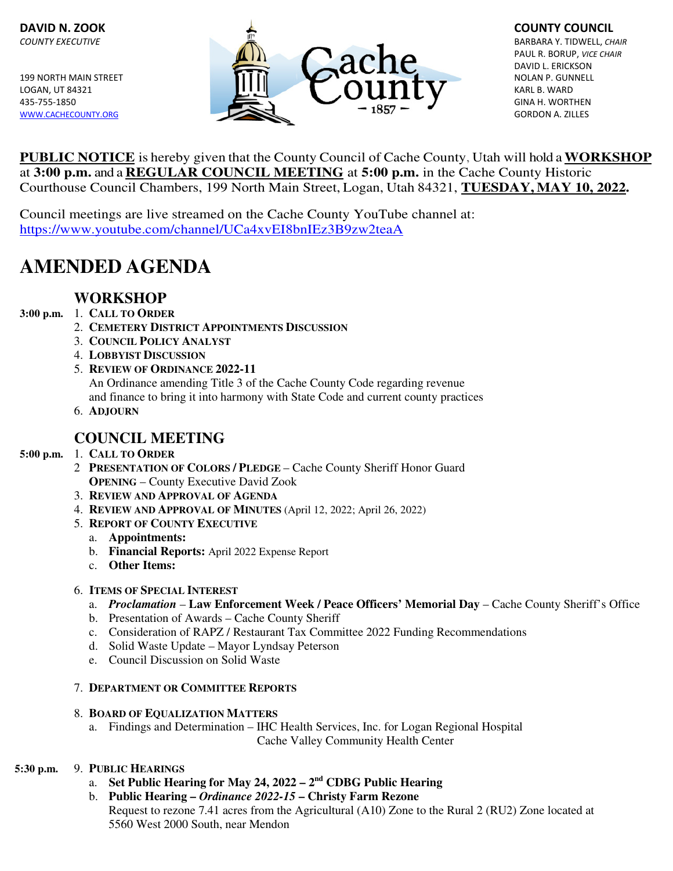

 PAUL R. BORUP, VICE CHAIR DAVID L. ERICKSON

**PUBLIC NOTICE** is hereby given that the County Council of Cache County, Utah will hold a **WORKSHOP**  at **3:00 p.m.** and a **REGULAR COUNCIL MEETING** at **5:00 p.m.** in the Cache County Historic Courthouse Council Chambers, 199 North Main Street, Logan, Utah 84321, **TUESDAY, MAY 10, 2022.** 

Council meetings are live streamed on the Cache County YouTube channel at: https://www.youtube.com/channel/UCa4xvEI8bnIEz3B9zw2teaA

# **AMENDED AGENDA**

# **WORKSHOP**

# **3:00 p.m.** 1. **CALL TO ORDER**

- 2. **CEMETERY DISTRICT APPOINTMENTS DISCUSSION**
- 3. **COUNCIL POLICY ANALYST**
- 4. **LOBBYIST DISCUSSION**
- 5. **REVIEW OF ORDINANCE 2022-11**  An Ordinance amending Title 3 of the Cache County Code regarding revenue and finance to bring it into harmony with State Code and current county practices
- 6. **ADJOURN**

# **COUNCIL MEETING**

# **5:00 p.m.** 1. **CALL TO ORDER**

- 2 **PRESENTATION OF COLORS / PLEDGE**  Cache County Sheriff Honor Guard **OPENING** – County Executive David Zook
- 3. **REVIEW AND APPROVAL OF AGENDA**
- 4. **REVIEW AND APPROVAL OF MINUTES** (April 12, 2022; April 26, 2022)
- 5. **REPORT OF COUNTY EXECUTIVE**
	- a. **Appointments:**
	- b. **Financial Reports:** April 2022 Expense Report
	- c. **Other Items:**

# 6. **ITEMS OF SPECIAL INTEREST**

- a. *Proclamation* **Law Enforcement Week / Peace Officers' Memorial Day** Cache County Sheriff's Office
- b. Presentation of Awards Cache County Sheriff
- c. Consideration of RAPZ / Restaurant Tax Committee 2022 Funding Recommendations
- d. Solid Waste Update Mayor Lyndsay Peterson
- e. Council Discussion on Solid Waste

#### 7. **DEPARTMENT OR COMMITTEE REPORTS**

#### 8. **BOARD OF EQUALIZATION MATTERS**

 a. Findings and Determination – IHC Health Services, Inc. for Logan Regional Hospital Cache Valley Community Health Center

# **5:30 p.m.** 9. **PUBLIC HEARINGS**

- a. Set Public Hearing for May 24,  $2022 2<sup>nd</sup>$  CDBG Public Hearing
- b. **Public Hearing** *Ordinance 2022-15* **Christy Farm Rezone** Request to rezone 7.41 acres from the Agricultural (A10) Zone to the Rural 2 (RU2) Zone located at 5560 West 2000 South, near Mendon